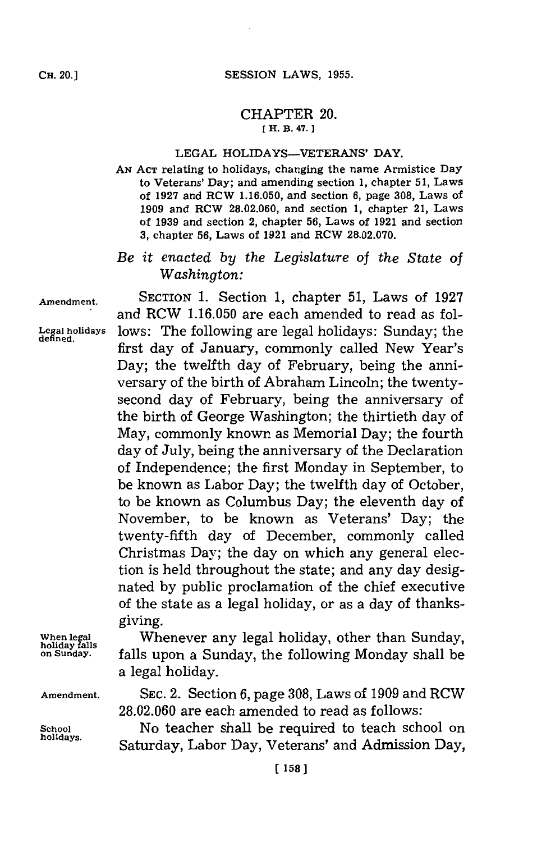## CHAPTER 20. **[ H. B. 47.]**

## **LEGAL HOLIDAYS-VETERANS'** DAY.

**AN ACT** relating to holidays, changing the name Armistice Day to Veterans' Day; and amending section **1,** chapter **5 1,** Laws of **1927** and RCW **1.16.050,** and section **6,** page **308,** Laws of **1909** and RCW **28.02.060,** and section **1,** chapter 21, Laws of **1939** and section 2, chapter **56,** Laws of **1921** and section **3,** chapter **56,** Laws of **1921** and RCW **28.02.070.**

## *Be it enacted by the Legislature of the State of Washington:*

**Amendment.** SECTION **1.** Section **1,** chapter **51,** Laws of **1927**

**defined.**

and RCW **1.16.050** are each amended to read as follows: The following are legal holidays: Sunday; the first day of January, commonly called New Year's Day; the twelfth day of February, being the anniversary of the birth of Abraham Lincoln; the twentysecond day of February, being the anniversary of the birth of George Washington; the thirtieth day of May, commonly known as Memorial Day; the fourth day of July, being the anniversary of the Declaration of Independence; the first Monday in September, to be known as Labor Day; the twelfth day of October, to be known as Columbus Day; the eleventh day of November, to be known as Veterans' Day; the twenty-fifth day of December, commonly called Christmas Day; the day on which any general election is held throughout the state; and any day designated **by** public proclamation of the chief executive of the state as a legal holiday, or as a day of thanksgiving.

**When legal** Whenever any legal holiday, other than Sunday, **hoiday fals on Sunday.** falls upon a Sunday, the following Monday shall be a legal holiday.

**Amendment. SEC.** 2. Section **6,** page **308,** Laws of **1909** and RCW **28.02.060** are each amended to read as follows:

School **No** teacher shall be required to teach school on holidays. Saturday, Labor Day, Veterans' and Admission Day,